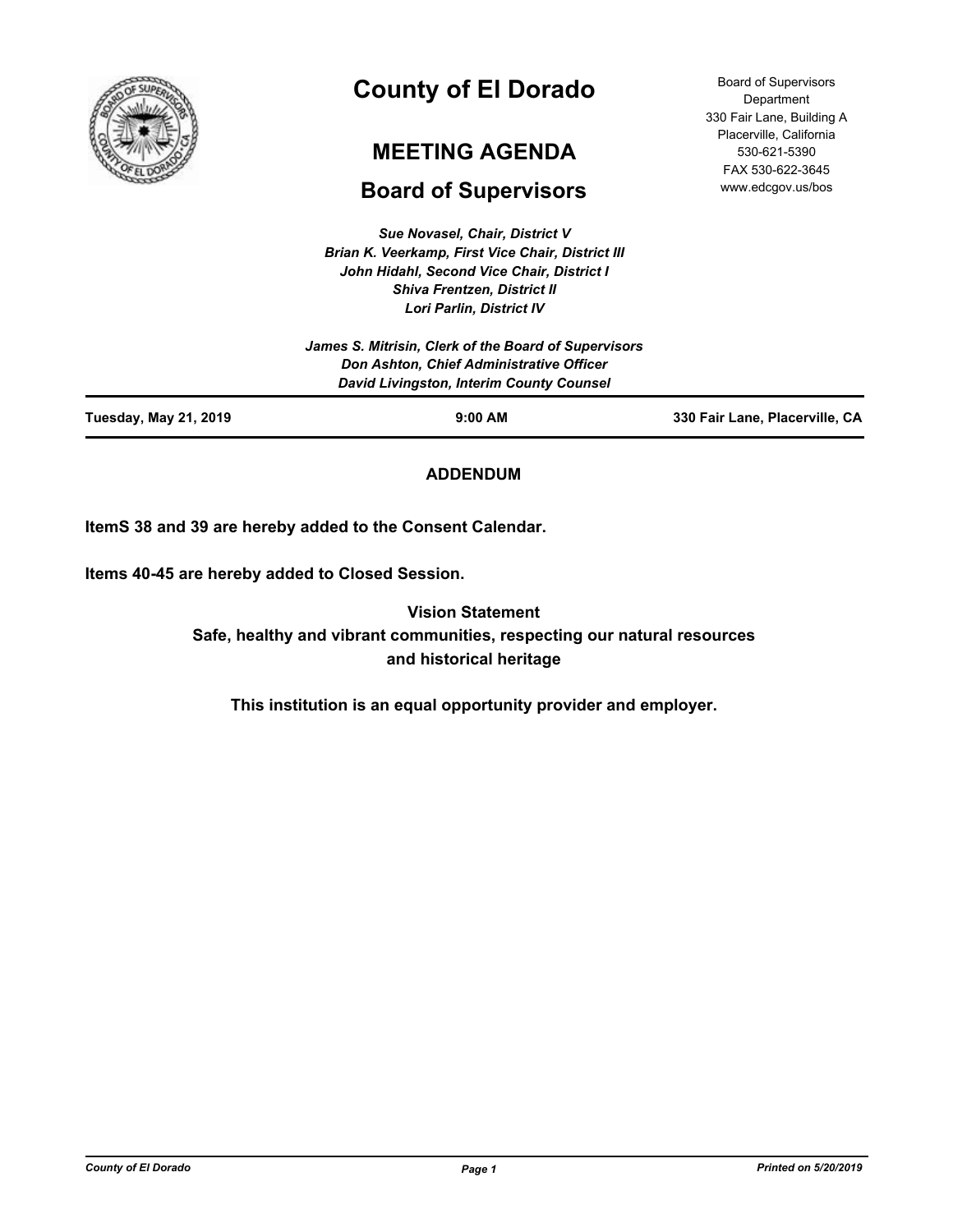

# **County of El Dorado**

# **MEETING AGENDA**

# **Board of Supervisors**

*Sue Novasel, Chair, District V Brian K. Veerkamp, First Vice Chair, District III John Hidahl, Second Vice Chair, District I Shiva Frentzen, District II*

| <b>Tuesday, May 21, 2019</b> | $9:00$ AM                                            | 330 Fair Lane, Placerville, CA |
|------------------------------|------------------------------------------------------|--------------------------------|
|                              | David Livingston, Interim County Counsel             |                                |
|                              | Don Ashton, Chief Administrative Officer             |                                |
|                              | James S. Mitrisin, Clerk of the Board of Supervisors |                                |
|                              | <b>Lori Parlin, District IV</b>                      |                                |
|                              | <b>Shiva Frentzen, District II</b>                   |                                |
|                              | John Hidahl, Second Vice Chair, District I           |                                |
|                              | Brian K. Veerkamp, First Vice Chair, District III    |                                |

**ADDENDUM**

**ItemS 38 and 39 are hereby added to the Consent Calendar.**

**Items 40-45 are hereby added to Closed Session.**

**Vision Statement Safe, healthy and vibrant communities, respecting our natural resources and historical heritage**

**This institution is an equal opportunity provider and employer.**

Board of Supervisors Department 330 Fair Lane, Building A Placerville, California 530-621-5390 FAX 530-622-3645 www.edcgov.us/bos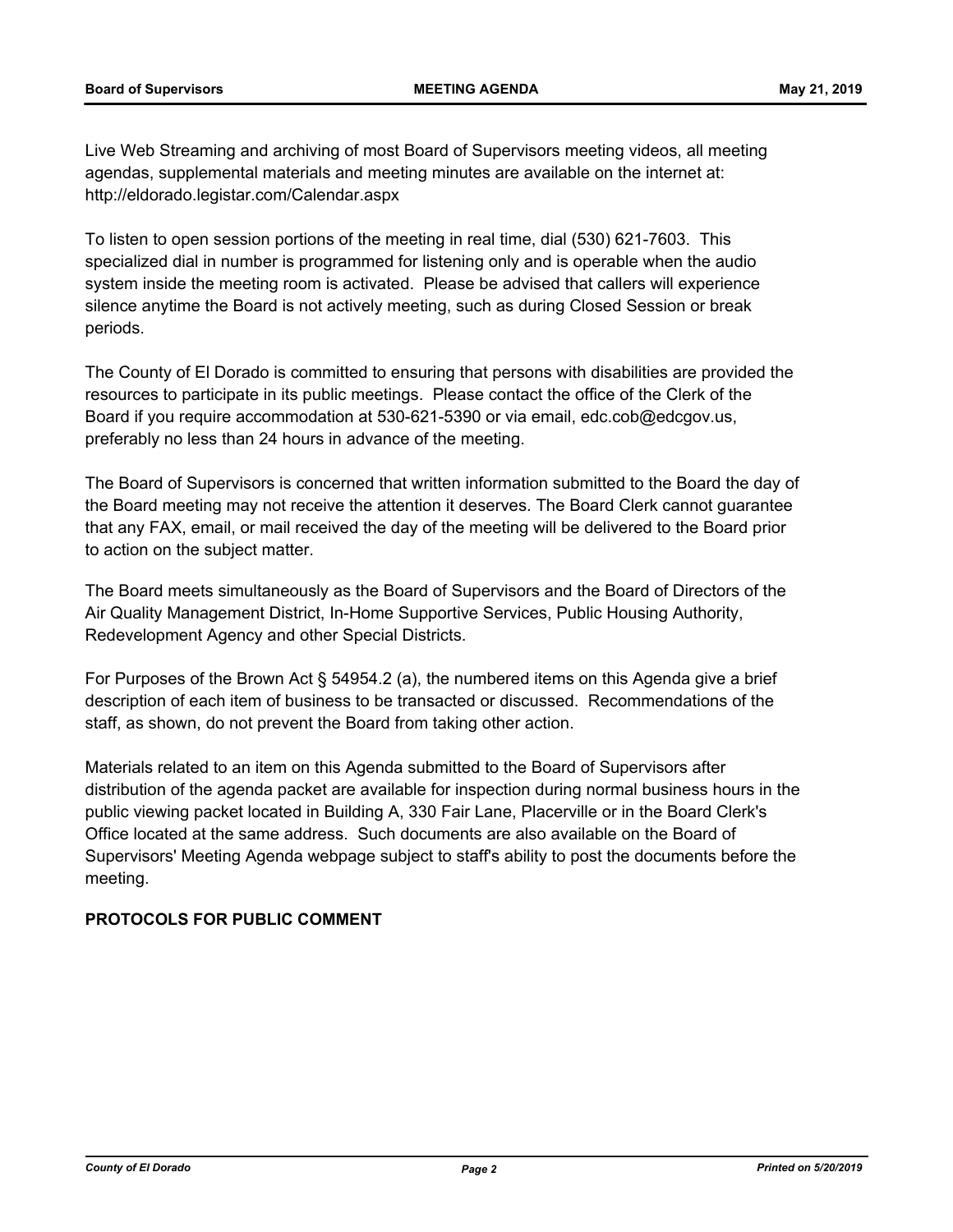Live Web Streaming and archiving of most Board of Supervisors meeting videos, all meeting agendas, supplemental materials and meeting minutes are available on the internet at: http://eldorado.legistar.com/Calendar.aspx

To listen to open session portions of the meeting in real time, dial (530) 621-7603. This specialized dial in number is programmed for listening only and is operable when the audio system inside the meeting room is activated. Please be advised that callers will experience silence anytime the Board is not actively meeting, such as during Closed Session or break periods.

The County of El Dorado is committed to ensuring that persons with disabilities are provided the resources to participate in its public meetings. Please contact the office of the Clerk of the Board if you require accommodation at 530-621-5390 or via email, edc.cob@edcgov.us, preferably no less than 24 hours in advance of the meeting.

The Board of Supervisors is concerned that written information submitted to the Board the day of the Board meeting may not receive the attention it deserves. The Board Clerk cannot guarantee that any FAX, email, or mail received the day of the meeting will be delivered to the Board prior to action on the subject matter.

The Board meets simultaneously as the Board of Supervisors and the Board of Directors of the Air Quality Management District, In-Home Supportive Services, Public Housing Authority, Redevelopment Agency and other Special Districts.

For Purposes of the Brown Act § 54954.2 (a), the numbered items on this Agenda give a brief description of each item of business to be transacted or discussed. Recommendations of the staff, as shown, do not prevent the Board from taking other action.

Materials related to an item on this Agenda submitted to the Board of Supervisors after distribution of the agenda packet are available for inspection during normal business hours in the public viewing packet located in Building A, 330 Fair Lane, Placerville or in the Board Clerk's Office located at the same address. Such documents are also available on the Board of Supervisors' Meeting Agenda webpage subject to staff's ability to post the documents before the meeting.

# **PROTOCOLS FOR PUBLIC COMMENT**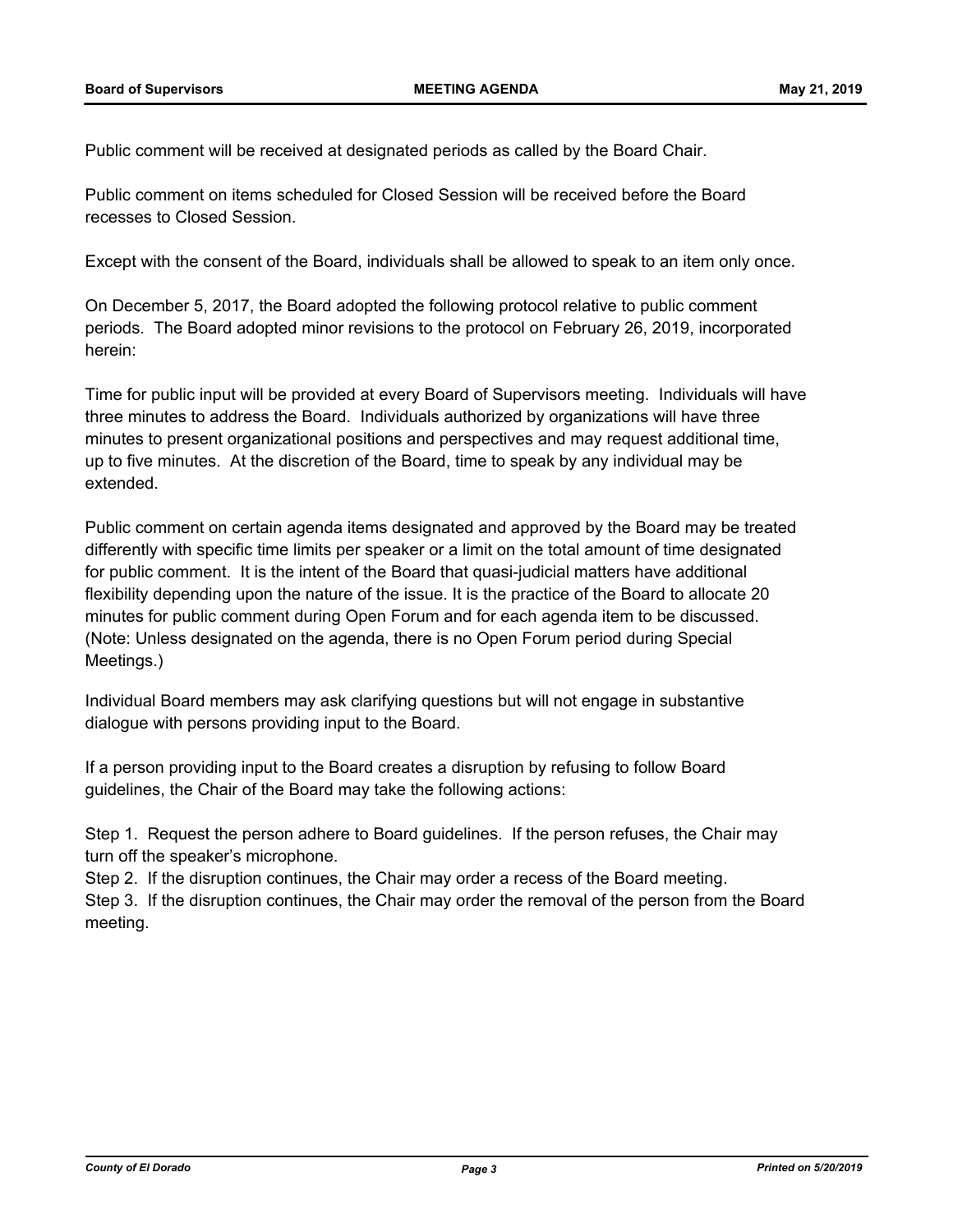Public comment will be received at designated periods as called by the Board Chair.

Public comment on items scheduled for Closed Session will be received before the Board recesses to Closed Session.

Except with the consent of the Board, individuals shall be allowed to speak to an item only once.

On December 5, 2017, the Board adopted the following protocol relative to public comment periods. The Board adopted minor revisions to the protocol on February 26, 2019, incorporated herein:

Time for public input will be provided at every Board of Supervisors meeting. Individuals will have three minutes to address the Board. Individuals authorized by organizations will have three minutes to present organizational positions and perspectives and may request additional time, up to five minutes. At the discretion of the Board, time to speak by any individual may be extended.

Public comment on certain agenda items designated and approved by the Board may be treated differently with specific time limits per speaker or a limit on the total amount of time designated for public comment. It is the intent of the Board that quasi-judicial matters have additional flexibility depending upon the nature of the issue. It is the practice of the Board to allocate 20 minutes for public comment during Open Forum and for each agenda item to be discussed. (Note: Unless designated on the agenda, there is no Open Forum period during Special Meetings.)

Individual Board members may ask clarifying questions but will not engage in substantive dialogue with persons providing input to the Board.

If a person providing input to the Board creates a disruption by refusing to follow Board guidelines, the Chair of the Board may take the following actions:

Step 1. Request the person adhere to Board guidelines. If the person refuses, the Chair may turn off the speaker's microphone.

Step 2. If the disruption continues, the Chair may order a recess of the Board meeting. Step 3. If the disruption continues, the Chair may order the removal of the person from the Board meeting.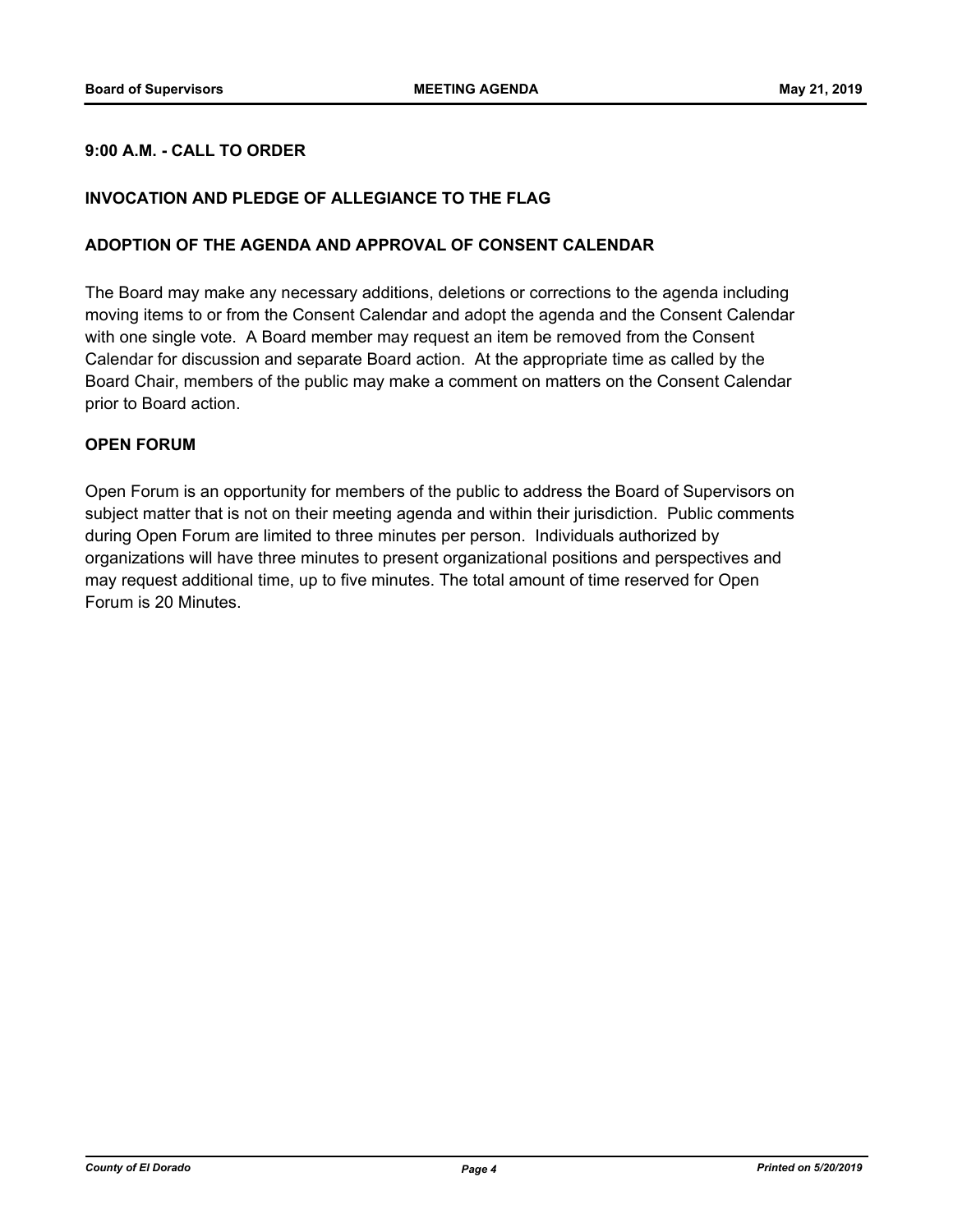# **9:00 A.M. - CALL TO ORDER**

## **INVOCATION AND PLEDGE OF ALLEGIANCE TO THE FLAG**

### **ADOPTION OF THE AGENDA AND APPROVAL OF CONSENT CALENDAR**

The Board may make any necessary additions, deletions or corrections to the agenda including moving items to or from the Consent Calendar and adopt the agenda and the Consent Calendar with one single vote. A Board member may request an item be removed from the Consent Calendar for discussion and separate Board action. At the appropriate time as called by the Board Chair, members of the public may make a comment on matters on the Consent Calendar prior to Board action.

### **OPEN FORUM**

Open Forum is an opportunity for members of the public to address the Board of Supervisors on subject matter that is not on their meeting agenda and within their jurisdiction. Public comments during Open Forum are limited to three minutes per person. Individuals authorized by organizations will have three minutes to present organizational positions and perspectives and may request additional time, up to five minutes. The total amount of time reserved for Open Forum is 20 Minutes.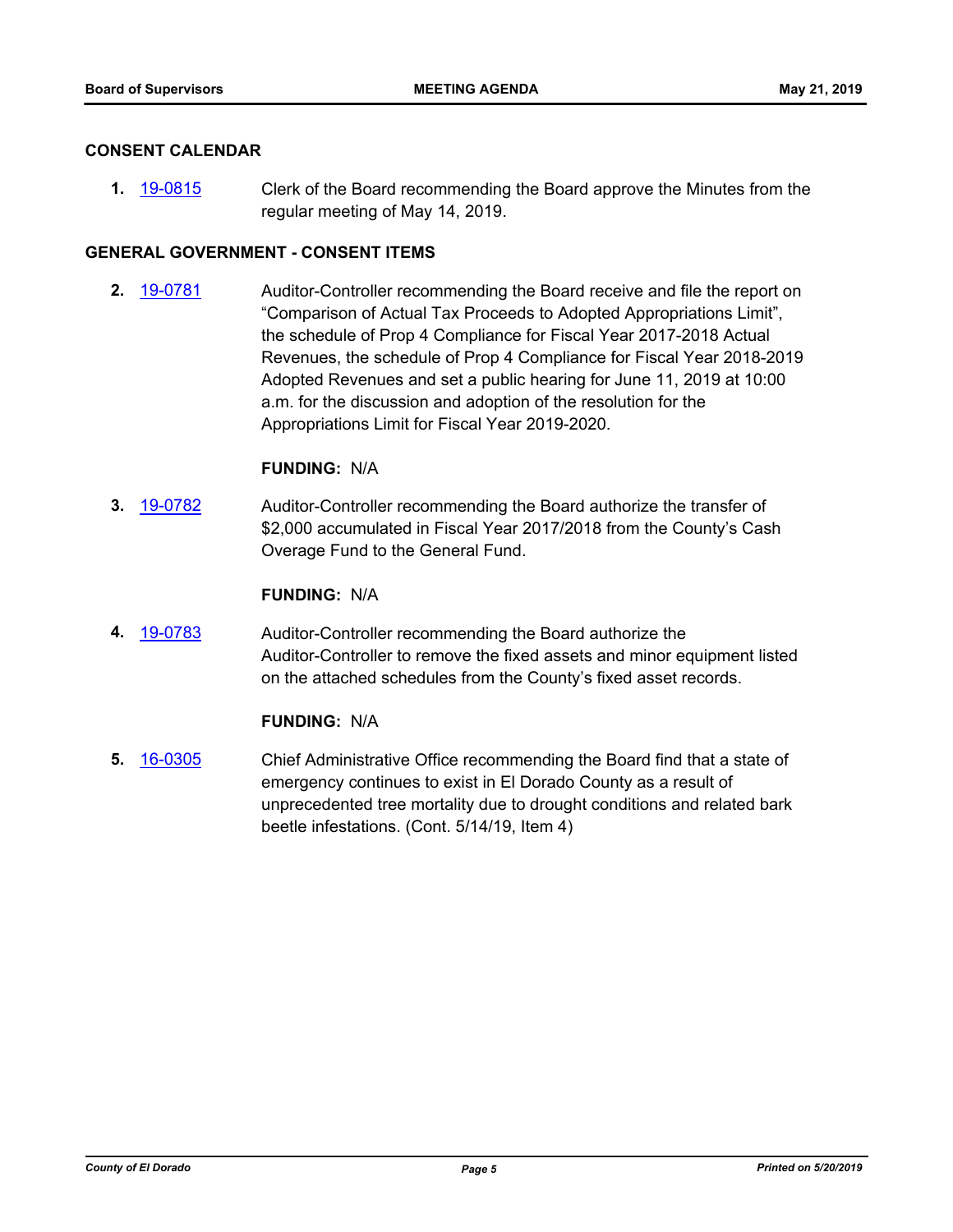### **CONSENT CALENDAR**

**1.** [19-0815](http://eldorado.legistar.com/gateway.aspx?m=l&id=/matter.aspx?key=26138) Clerk of the Board recommending the Board approve the Minutes from the regular meeting of May 14, 2019.

# **GENERAL GOVERNMENT - CONSENT ITEMS**

**2.** [19-0781](http://eldorado.legistar.com/gateway.aspx?m=l&id=/matter.aspx?key=26103) Auditor-Controller recommending the Board receive and file the report on "Comparison of Actual Tax Proceeds to Adopted Appropriations Limit", the schedule of Prop 4 Compliance for Fiscal Year 2017-2018 Actual Revenues, the schedule of Prop 4 Compliance for Fiscal Year 2018-2019 Adopted Revenues and set a public hearing for June 11, 2019 at 10:00 a.m. for the discussion and adoption of the resolution for the Appropriations Limit for Fiscal Year 2019-2020.

### **FUNDING:** N/A

**3.** [19-0782](http://eldorado.legistar.com/gateway.aspx?m=l&id=/matter.aspx?key=26104) Auditor-Controller recommending the Board authorize the transfer of \$2,000 accumulated in Fiscal Year 2017/2018 from the County's Cash Overage Fund to the General Fund.

### **FUNDING:** N/A

**4.** [19-0783](http://eldorado.legistar.com/gateway.aspx?m=l&id=/matter.aspx?key=26105) Auditor-Controller recommending the Board authorize the Auditor-Controller to remove the fixed assets and minor equipment listed on the attached schedules from the County's fixed asset records.

# **FUNDING:** N/A

**5.** [16-0305](http://eldorado.legistar.com/gateway.aspx?m=l&id=/matter.aspx?key=20961) Chief Administrative Office recommending the Board find that a state of emergency continues to exist in El Dorado County as a result of unprecedented tree mortality due to drought conditions and related bark beetle infestations. (Cont. 5/14/19, Item 4)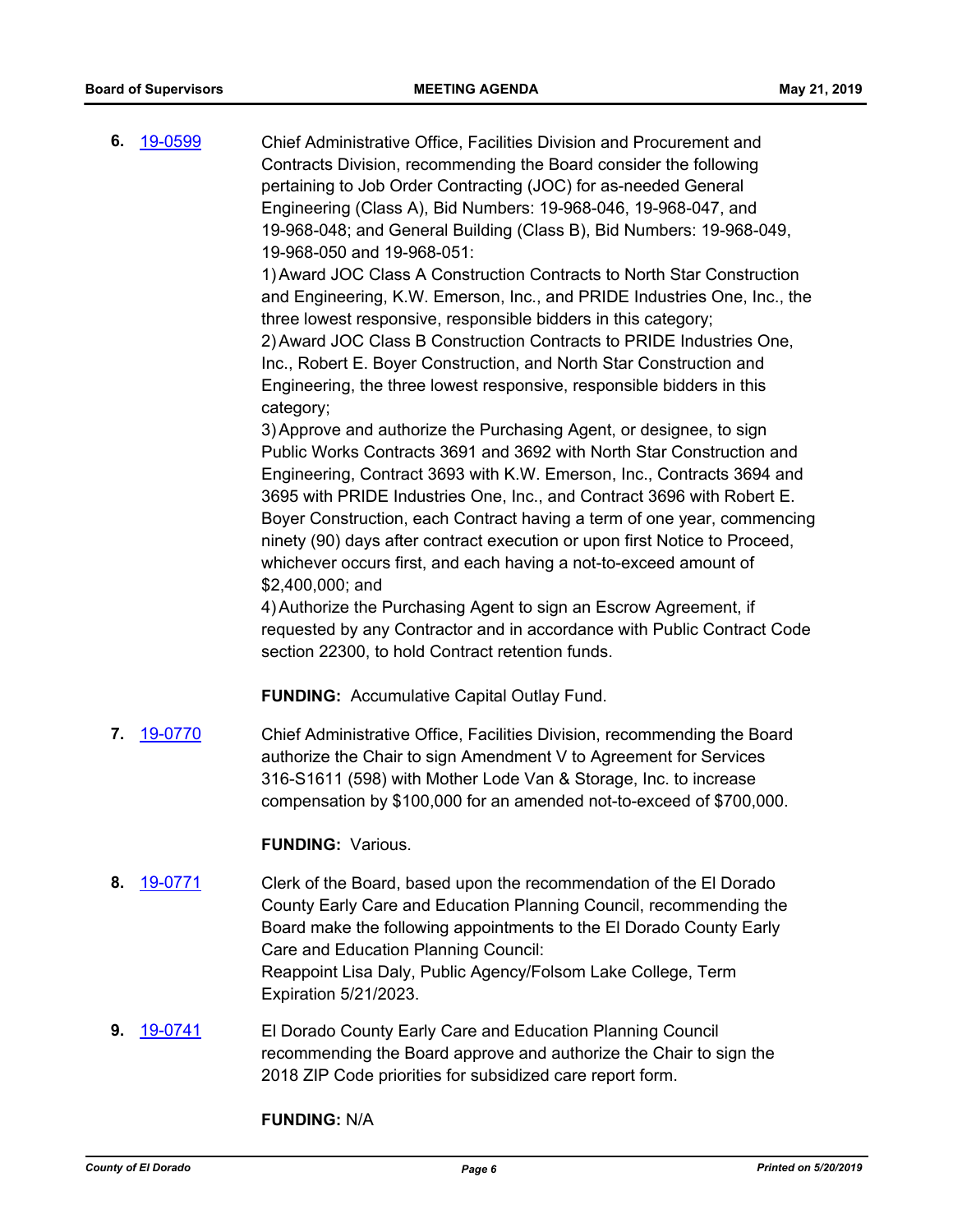**6.** [19-0599](http://eldorado.legistar.com/gateway.aspx?m=l&id=/matter.aspx?key=25920) Chief Administrative Office, Facilities Division and Procurement and Contracts Division, recommending the Board consider the following pertaining to Job Order Contracting (JOC) for as-needed General Engineering (Class A), Bid Numbers: 19-968-046, 19-968-047, and 19-968-048; and General Building (Class B), Bid Numbers: 19-968-049, 19-968-050 and 19-968-051: 1)Award JOC Class A Construction Contracts to North Star Construction

and Engineering, K.W. Emerson, Inc., and PRIDE Industries One, Inc., the three lowest responsive, responsible bidders in this category; 2)Award JOC Class B Construction Contracts to PRIDE Industries One, Inc., Robert E. Boyer Construction, and North Star Construction and Engineering, the three lowest responsive, responsible bidders in this

3)Approve and authorize the Purchasing Agent, or designee, to sign Public Works Contracts 3691 and 3692 with North Star Construction and Engineering, Contract 3693 with K.W. Emerson, Inc., Contracts 3694 and 3695 with PRIDE Industries One, Inc., and Contract 3696 with Robert E. Boyer Construction, each Contract having a term of one year, commencing ninety (90) days after contract execution or upon first Notice to Proceed, whichever occurs first, and each having a not-to-exceed amount of \$2,400,000; and

4)Authorize the Purchasing Agent to sign an Escrow Agreement, if requested by any Contractor and in accordance with Public Contract Code section 22300, to hold Contract retention funds.

**FUNDING:** Accumulative Capital Outlay Fund.

**7.** [19-0770](http://eldorado.legistar.com/gateway.aspx?m=l&id=/matter.aspx?key=26092) Chief Administrative Office, Facilities Division, recommending the Board authorize the Chair to sign Amendment V to Agreement for Services 316-S1611 (598) with Mother Lode Van & Storage, Inc. to increase compensation by \$100,000 for an amended not-to-exceed of \$700,000.

### **FUNDING:** Various.

category;

- **8.** [19-0771](http://eldorado.legistar.com/gateway.aspx?m=l&id=/matter.aspx?key=26093) Clerk of the Board, based upon the recommendation of the El Dorado County Early Care and Education Planning Council, recommending the Board make the following appointments to the El Dorado County Early Care and Education Planning Council: Reappoint Lisa Daly, Public Agency/Folsom Lake College, Term Expiration 5/21/2023.
- **9.** [19-0741](http://eldorado.legistar.com/gateway.aspx?m=l&id=/matter.aspx?key=26063) El Dorado County Early Care and Education Planning Council recommending the Board approve and authorize the Chair to sign the 2018 ZIP Code priorities for subsidized care report form.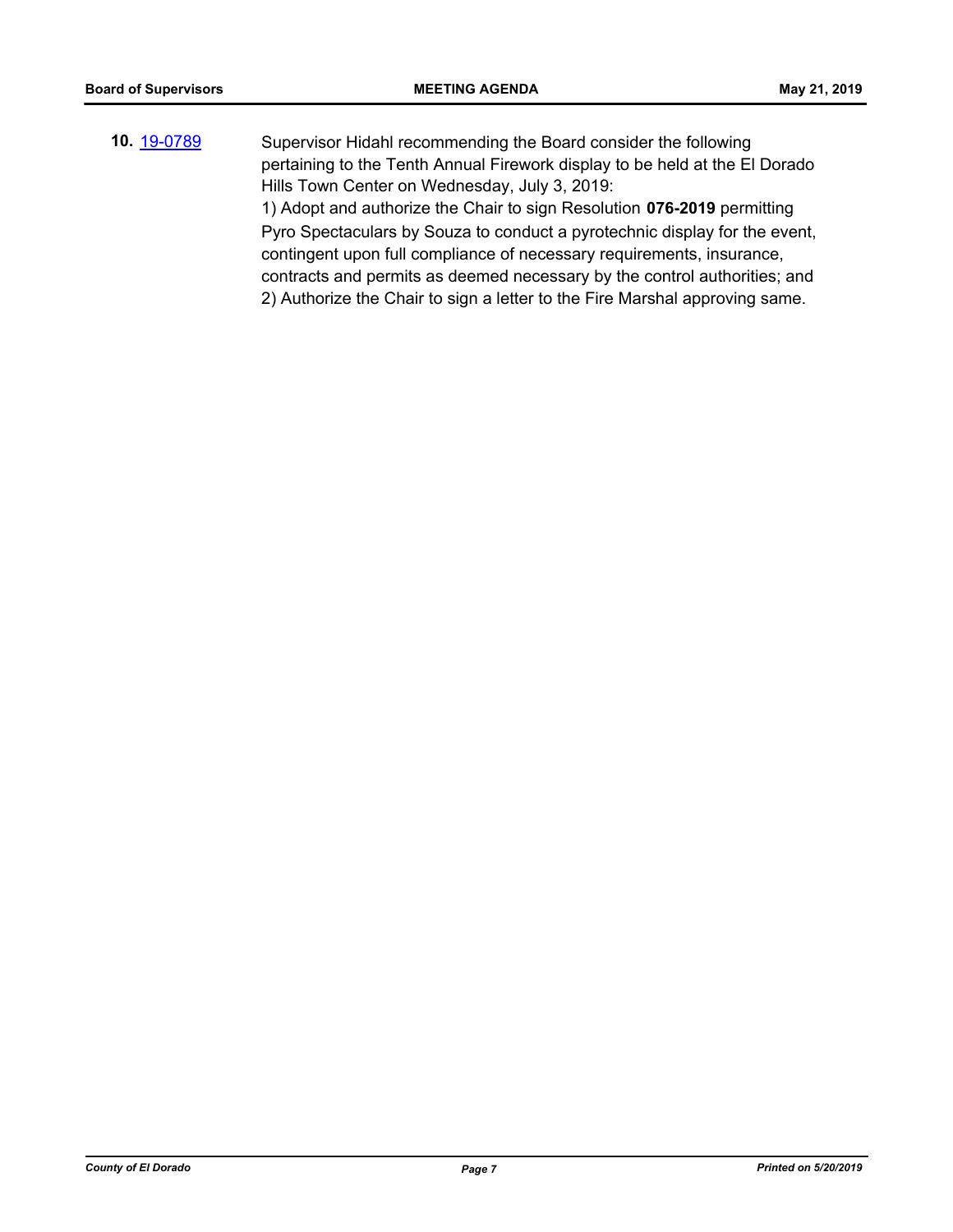**10.** [19-0789](http://eldorado.legistar.com/gateway.aspx?m=l&id=/matter.aspx?key=26112) Supervisor Hidahl recommending the Board consider the following pertaining to the Tenth Annual Firework display to be held at the El Dorado Hills Town Center on Wednesday, July 3, 2019: 1) Adopt and authorize the Chair to sign Resolution **076-2019** permitting Pyro Spectaculars by Souza to conduct a pyrotechnic display for the event, contingent upon full compliance of necessary requirements, insurance, contracts and permits as deemed necessary by the control authorities; and 2) Authorize the Chair to sign a letter to the Fire Marshal approving same.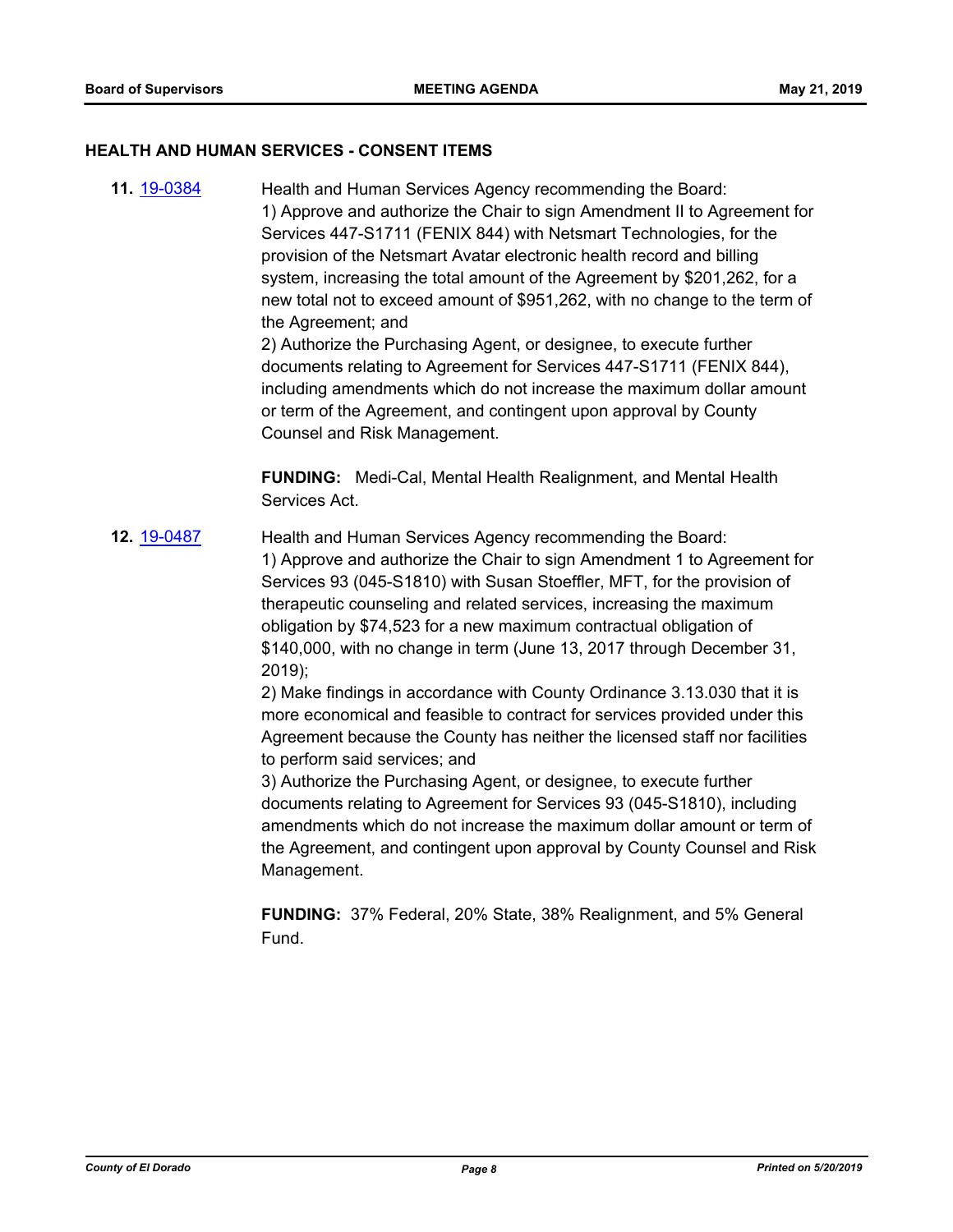### **HEALTH AND HUMAN SERVICES - CONSENT ITEMS**

**11.** [19-0384](http://eldorado.legistar.com/gateway.aspx?m=l&id=/matter.aspx?key=25705) Health and Human Services Agency recommending the Board: 1) Approve and authorize the Chair to sign Amendment II to Agreement for Services 447-S1711 (FENIX 844) with Netsmart Technologies, for the provision of the Netsmart Avatar electronic health record and billing system, increasing the total amount of the Agreement by \$201,262, for a new total not to exceed amount of \$951,262, with no change to the term of the Agreement; and

2) Authorize the Purchasing Agent, or designee, to execute further documents relating to Agreement for Services 447-S1711 (FENIX 844), including amendments which do not increase the maximum dollar amount or term of the Agreement, and contingent upon approval by County Counsel and Risk Management.

**FUNDING:** Medi-Cal, Mental Health Realignment, and Mental Health Services Act.

**12.** [19-0487](http://eldorado.legistar.com/gateway.aspx?m=l&id=/matter.aspx?key=25808) Health and Human Services Agency recommending the Board: 1) Approve and authorize the Chair to sign Amendment 1 to Agreement for Services 93 (045-S1810) with Susan Stoeffler, MFT, for the provision of therapeutic counseling and related services, increasing the maximum obligation by \$74,523 for a new maximum contractual obligation of \$140,000, with no change in term (June 13, 2017 through December 31, 2019);

2) Make findings in accordance with County Ordinance 3.13.030 that it is more economical and feasible to contract for services provided under this Agreement because the County has neither the licensed staff nor facilities to perform said services; and

3) Authorize the Purchasing Agent, or designee, to execute further documents relating to Agreement for Services 93 (045-S1810), including amendments which do not increase the maximum dollar amount or term of the Agreement, and contingent upon approval by County Counsel and Risk Management.

**FUNDING:** 37% Federal, 20% State, 38% Realignment, and 5% General Fund.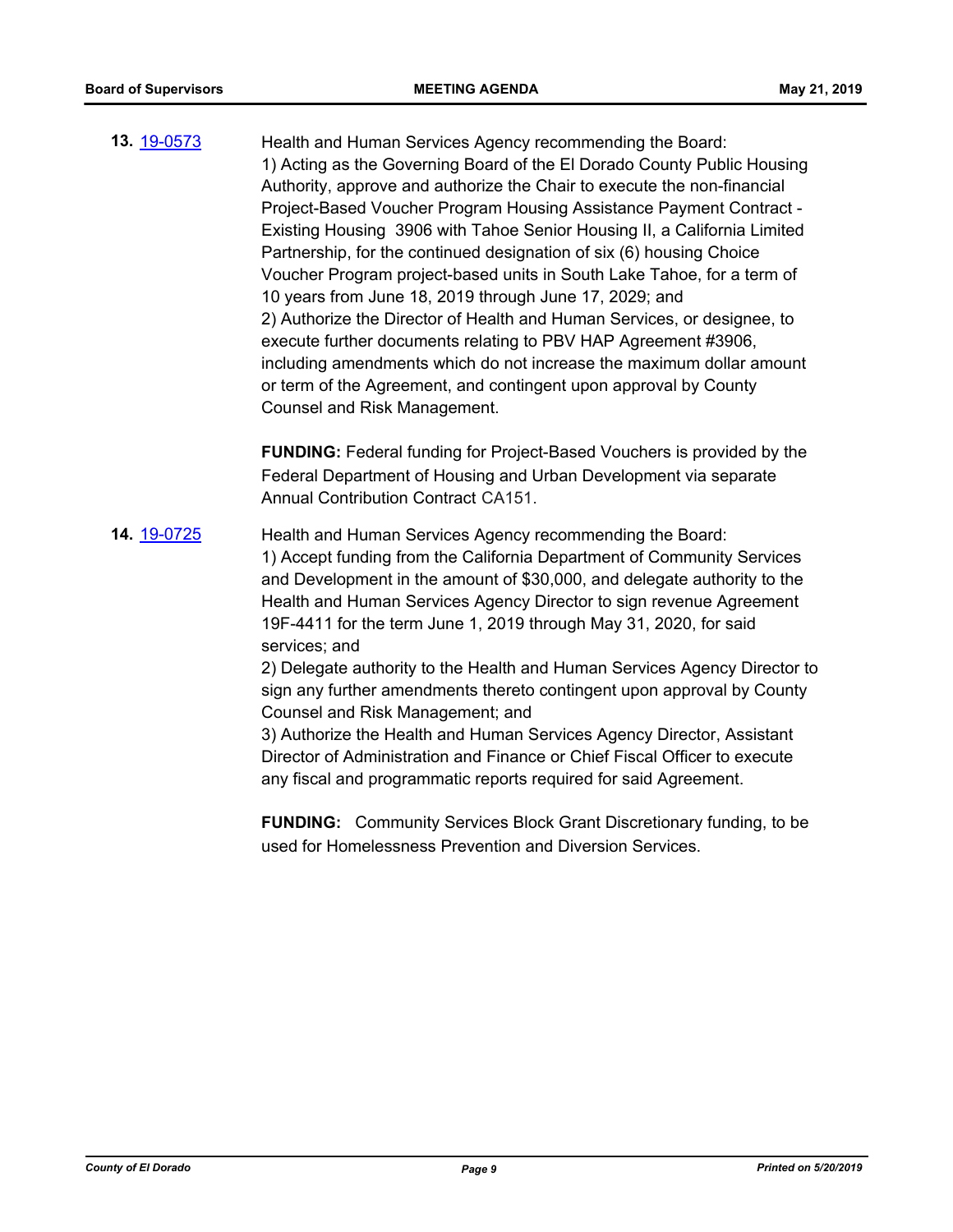**13.** [19-0573](http://eldorado.legistar.com/gateway.aspx?m=l&id=/matter.aspx?key=25894) Health and Human Services Agency recommending the Board: 1) Acting as the Governing Board of the El Dorado County Public Housing Authority, approve and authorize the Chair to execute the non-financial Project-Based Voucher Program Housing Assistance Payment Contract - Existing Housing 3906 with Tahoe Senior Housing II, a California Limited Partnership, for the continued designation of six (6) housing Choice Voucher Program project-based units in South Lake Tahoe, for a term of 10 years from June 18, 2019 through June 17, 2029; and 2) Authorize the Director of Health and Human Services, or designee, to execute further documents relating to PBV HAP Agreement #3906, including amendments which do not increase the maximum dollar amount or term of the Agreement, and contingent upon approval by County Counsel and Risk Management.

> **FUNDING:** Federal funding for Project-Based Vouchers is provided by the Federal Department of Housing and Urban Development via separate Annual Contribution Contract CA151.

**14.** [19-0725](http://eldorado.legistar.com/gateway.aspx?m=l&id=/matter.aspx?key=26047) Health and Human Services Agency recommending the Board: 1) Accept funding from the California Department of Community Services and Development in the amount of \$30,000, and delegate authority to the Health and Human Services Agency Director to sign revenue Agreement 19F-4411 for the term June 1, 2019 through May 31, 2020, for said services; and

2) Delegate authority to the Health and Human Services Agency Director to sign any further amendments thereto contingent upon approval by County Counsel and Risk Management; and

3) Authorize the Health and Human Services Agency Director, Assistant Director of Administration and Finance or Chief Fiscal Officer to execute any fiscal and programmatic reports required for said Agreement.

**FUNDING:** Community Services Block Grant Discretionary funding, to be used for Homelessness Prevention and Diversion Services.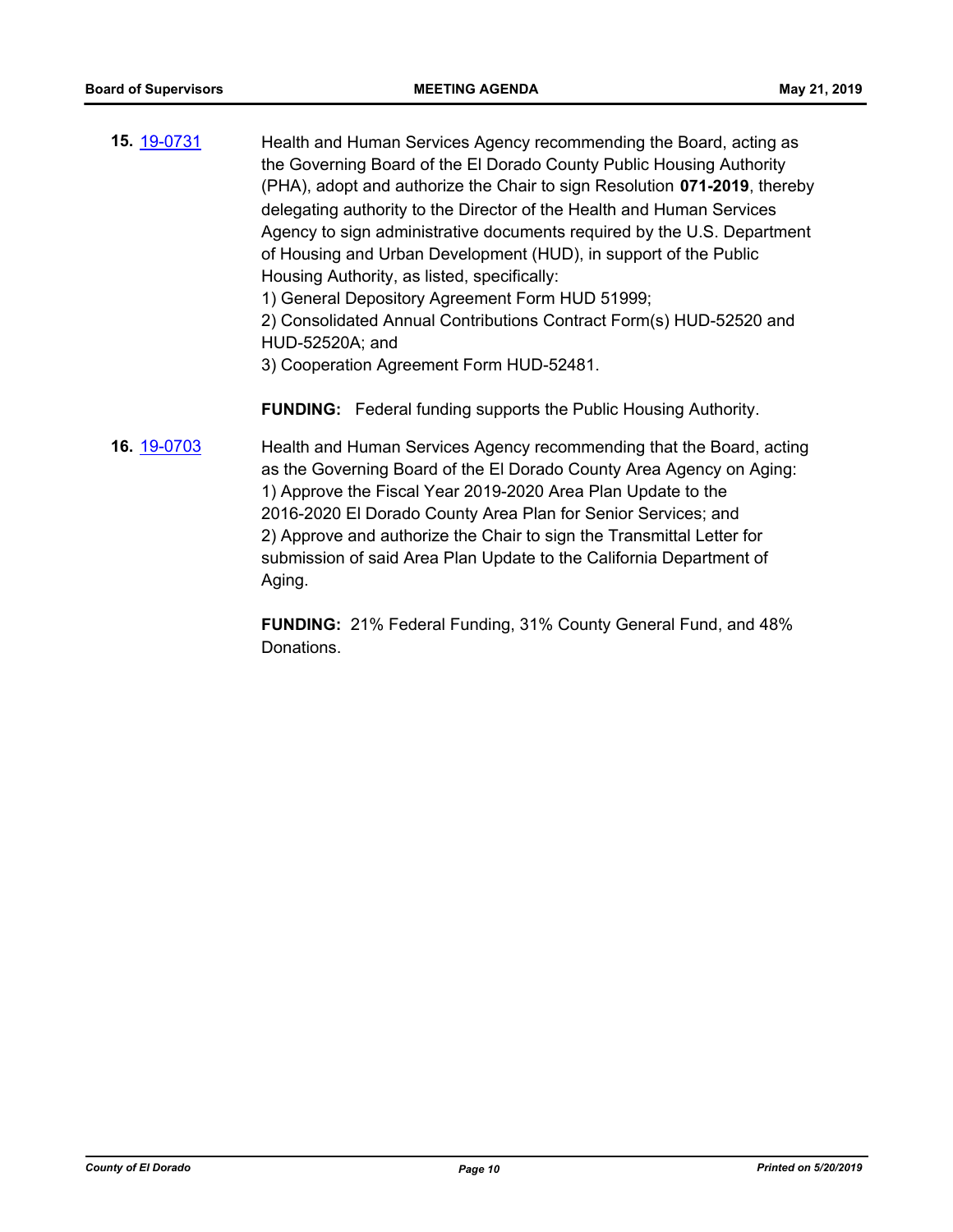**15.** [19-0731](http://eldorado.legistar.com/gateway.aspx?m=l&id=/matter.aspx?key=26053) Health and Human Services Agency recommending the Board, acting as the Governing Board of the El Dorado County Public Housing Authority (PHA), adopt and authorize the Chair to sign Resolution **071-2019**, thereby delegating authority to the Director of the Health and Human Services Agency to sign administrative documents required by the U.S. Department of Housing and Urban Development (HUD), in support of the Public Housing Authority, as listed, specifically:

1) General Depository Agreement Form HUD 51999;

2) Consolidated Annual Contributions Contract Form(s) HUD-52520 and HUD-52520A; and

3) Cooperation Agreement Form HUD-52481.

**FUNDING:** Federal funding supports the Public Housing Authority.

**16.** [19-0703](http://eldorado.legistar.com/gateway.aspx?m=l&id=/matter.aspx?key=26025) Health and Human Services Agency recommending that the Board, acting as the Governing Board of the El Dorado County Area Agency on Aging: 1) Approve the Fiscal Year 2019-2020 Area Plan Update to the 2016-2020 El Dorado County Area Plan for Senior Services; and 2) Approve and authorize the Chair to sign the Transmittal Letter for submission of said Area Plan Update to the California Department of Aging.

> **FUNDING:** 21% Federal Funding, 31% County General Fund, and 48% Donations.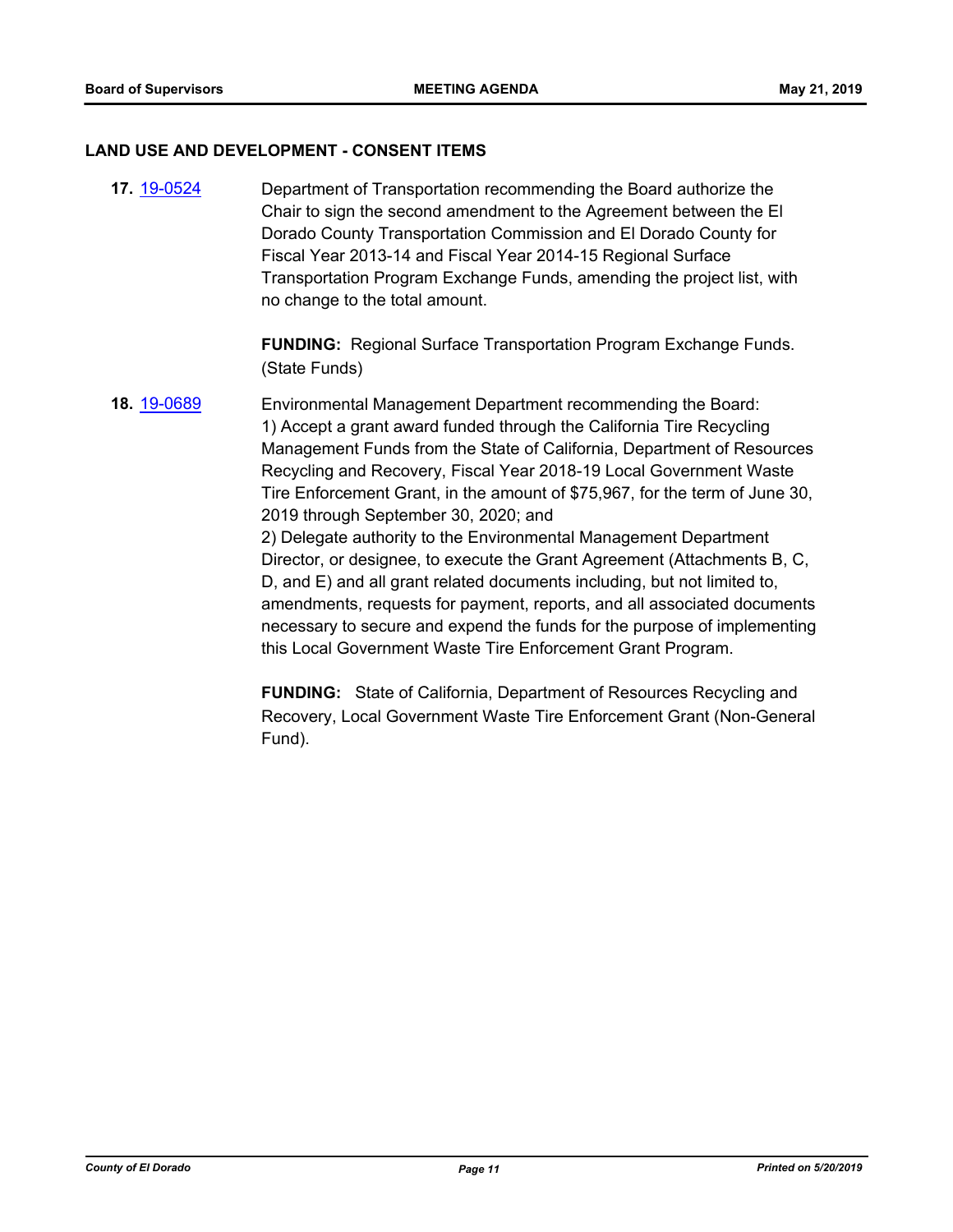### **LAND USE AND DEVELOPMENT - CONSENT ITEMS**

**17.** [19-0524](http://eldorado.legistar.com/gateway.aspx?m=l&id=/matter.aspx?key=25845) Department of Transportation recommending the Board authorize the Chair to sign the second amendment to the Agreement between the El Dorado County Transportation Commission and El Dorado County for Fiscal Year 2013-14 and Fiscal Year 2014-15 Regional Surface Transportation Program Exchange Funds, amending the project list, with no change to the total amount.

> **FUNDING:** Regional Surface Transportation Program Exchange Funds. (State Funds)

**18.** [19-0689](http://eldorado.legistar.com/gateway.aspx?m=l&id=/matter.aspx?key=26011) Environmental Management Department recommending the Board: 1) Accept a grant award funded through the California Tire Recycling Management Funds from the State of California, Department of Resources Recycling and Recovery, Fiscal Year 2018-19 Local Government Waste Tire Enforcement Grant, in the amount of \$75,967, for the term of June 30, 2019 through September 30, 2020; and 2) Delegate authority to the Environmental Management Department Director, or designee, to execute the Grant Agreement (Attachments B, C, D, and E) and all grant related documents including, but not limited to, amendments, requests for payment, reports, and all associated documents necessary to secure and expend the funds for the purpose of implementing this Local Government Waste Tire Enforcement Grant Program.

> **FUNDING:** State of California, Department of Resources Recycling and Recovery, Local Government Waste Tire Enforcement Grant (Non-General Fund).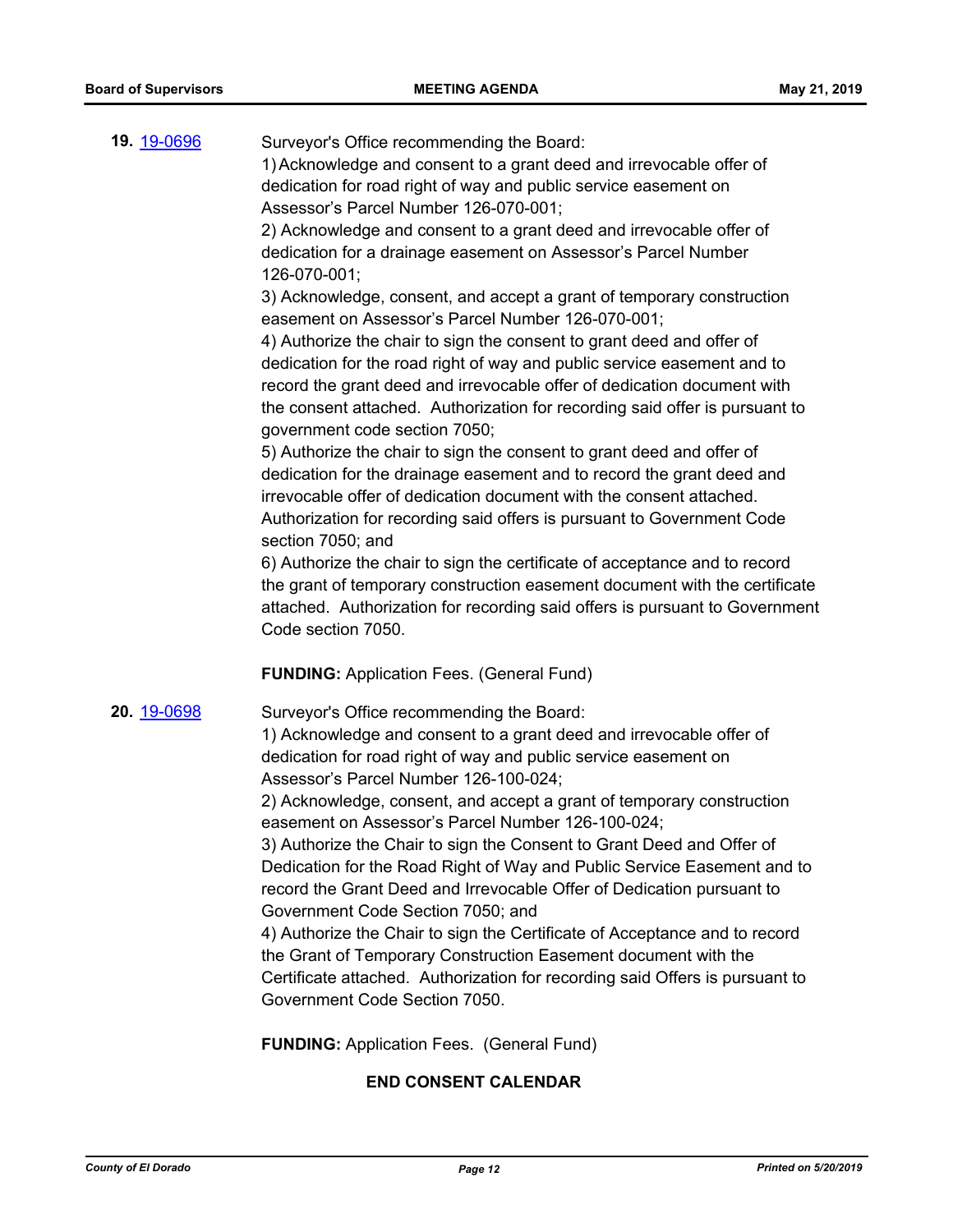| 19. 19-0696 | Surveyor's Office recommending the Board:<br>1) Acknowledge and consent to a grant deed and irrevocable offer of<br>dedication for road right of way and public service easement on<br>Assessor's Parcel Number 126-070-001;<br>2) Acknowledge and consent to a grant deed and irrevocable offer of<br>dedication for a drainage easement on Assessor's Parcel Number<br>126-070-001;<br>3) Acknowledge, consent, and accept a grant of temporary construction<br>easement on Assessor's Parcel Number 126-070-001;<br>4) Authorize the chair to sign the consent to grant deed and offer of<br>dedication for the road right of way and public service easement and to<br>record the grant deed and irrevocable offer of dedication document with<br>the consent attached. Authorization for recording said offer is pursuant to<br>government code section 7050;<br>5) Authorize the chair to sign the consent to grant deed and offer of<br>dedication for the drainage easement and to record the grant deed and<br>irrevocable offer of dedication document with the consent attached.<br>Authorization for recording said offers is pursuant to Government Code<br>section 7050; and<br>6) Authorize the chair to sign the certificate of acceptance and to record<br>the grant of temporary construction easement document with the certificate<br>attached. Authorization for recording said offers is pursuant to Government |
|-------------|---------------------------------------------------------------------------------------------------------------------------------------------------------------------------------------------------------------------------------------------------------------------------------------------------------------------------------------------------------------------------------------------------------------------------------------------------------------------------------------------------------------------------------------------------------------------------------------------------------------------------------------------------------------------------------------------------------------------------------------------------------------------------------------------------------------------------------------------------------------------------------------------------------------------------------------------------------------------------------------------------------------------------------------------------------------------------------------------------------------------------------------------------------------------------------------------------------------------------------------------------------------------------------------------------------------------------------------------------------------------------------------------------------------------------------------|
|             | Code section 7050.                                                                                                                                                                                                                                                                                                                                                                                                                                                                                                                                                                                                                                                                                                                                                                                                                                                                                                                                                                                                                                                                                                                                                                                                                                                                                                                                                                                                                    |
| 20. 19-0698 | <b>FUNDING: Application Fees. (General Fund)</b><br>Surveyor's Office recommending the Board:<br>1) Acknowledge and consent to a grant deed and irrevocable offer of<br>dedication for road right of way and public service easement on<br>Assessor's Parcel Number 126-100-024;<br>2) Acknowledge, consent, and accept a grant of temporary construction<br>easement on Assessor's Parcel Number 126-100-024;<br>3) Authorize the Chair to sign the Consent to Grant Deed and Offer of<br>Dedication for the Road Right of Way and Public Service Easement and to<br>record the Grant Deed and Irrevocable Offer of Dedication pursuant to<br>Government Code Section 7050; and<br>4) Authorize the Chair to sign the Certificate of Acceptance and to record<br>the Grant of Temporary Construction Easement document with the<br>Certificate attached. Authorization for recording said Offers is pursuant to<br>Government Code Section 7050.<br><b>FUNDING: Application Fees. (General Fund)</b>                                                                                                                                                                                                                                                                                                                                                                                                                                 |

# **END CONSENT CALENDAR**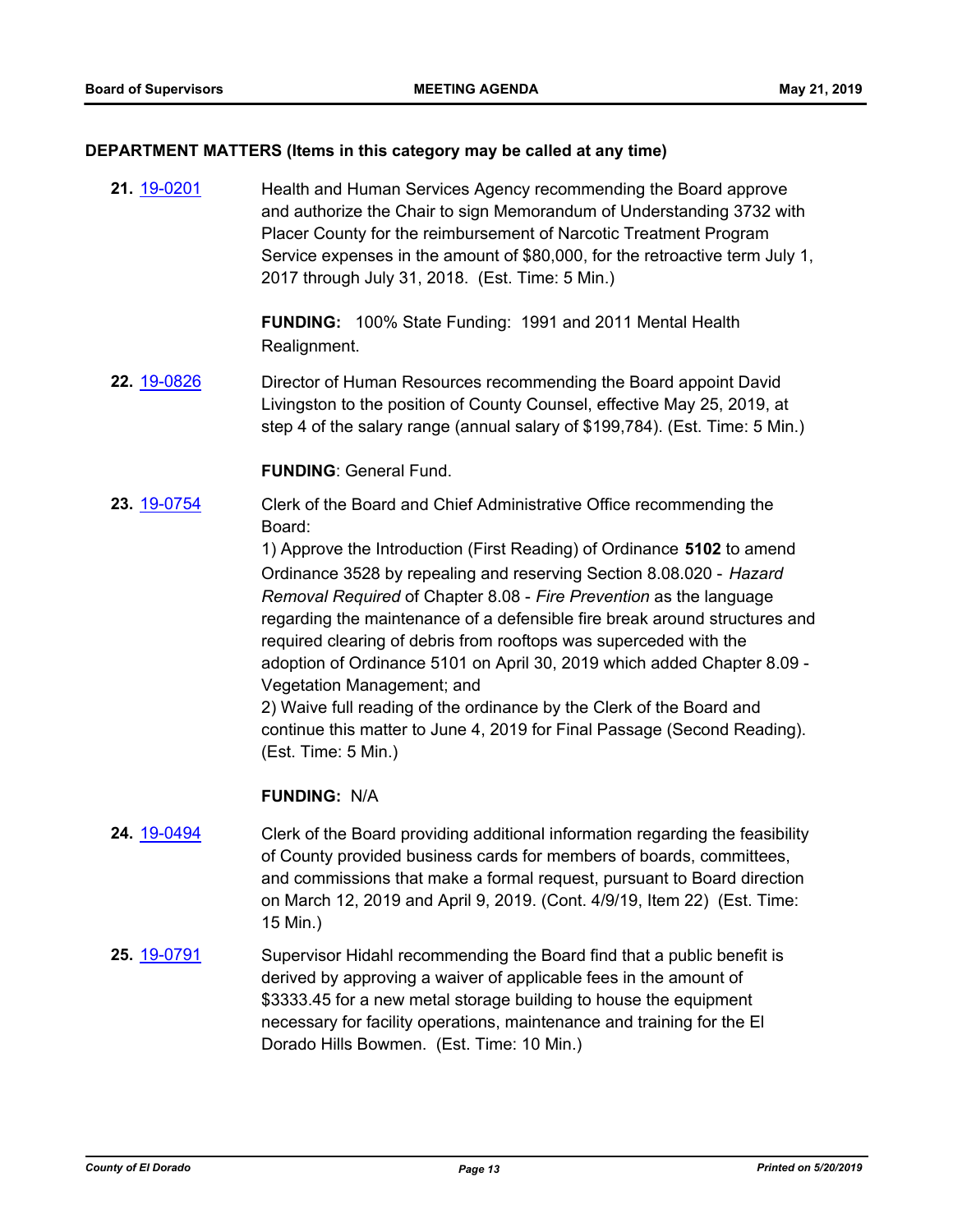### **DEPARTMENT MATTERS (Items in this category may be called at any time)**

**21.** [19-0201](http://eldorado.legistar.com/gateway.aspx?m=l&id=/matter.aspx?key=25521) Health and Human Services Agency recommending the Board approve and authorize the Chair to sign Memorandum of Understanding 3732 with Placer County for the reimbursement of Narcotic Treatment Program Service expenses in the amount of \$80,000, for the retroactive term July 1, 2017 through July 31, 2018. (Est. Time: 5 Min.)

> **FUNDING:** 100% State Funding: 1991 and 2011 Mental Health Realignment.

**22.** [19-0826](http://eldorado.legistar.com/gateway.aspx?m=l&id=/matter.aspx?key=26149) Director of Human Resources recommending the Board appoint David Livingston to the position of County Counsel, effective May 25, 2019, at step 4 of the salary range (annual salary of \$199,784). (Est. Time: 5 Min.)

### **FUNDING**: General Fund.

**23.** [19-0754](http://eldorado.legistar.com/gateway.aspx?m=l&id=/matter.aspx?key=26076) Clerk of the Board and Chief Administrative Office recommending the Board:

> 1) Approve the Introduction (First Reading) of Ordinance **5102** to amend Ordinance 3528 by repealing and reserving Section 8.08.020 - *Hazard Removal Required* of Chapter 8.08 - *Fire Prevention* as the language regarding the maintenance of a defensible fire break around structures and required clearing of debris from rooftops was superceded with the adoption of Ordinance 5101 on April 30, 2019 which added Chapter 8.09 - Vegetation Management; and

2) Waive full reading of the ordinance by the Clerk of the Board and continue this matter to June 4, 2019 for Final Passage (Second Reading). (Est. Time: 5 Min.)

- **24.** [19-0494](http://eldorado.legistar.com/gateway.aspx?m=l&id=/matter.aspx?key=25815) Clerk of the Board providing additional information regarding the feasibility of County provided business cards for members of boards, committees, and commissions that make a formal request, pursuant to Board direction on March 12, 2019 and April 9, 2019. (Cont. 4/9/19, Item 22) (Est. Time: 15 Min.)
- **25.** [19-0791](http://eldorado.legistar.com/gateway.aspx?m=l&id=/matter.aspx?key=26114) Supervisor Hidahl recommending the Board find that a public benefit is derived by approving a waiver of applicable fees in the amount of \$3333.45 for a new metal storage building to house the equipment necessary for facility operations, maintenance and training for the El Dorado Hills Bowmen. (Est. Time: 10 Min.)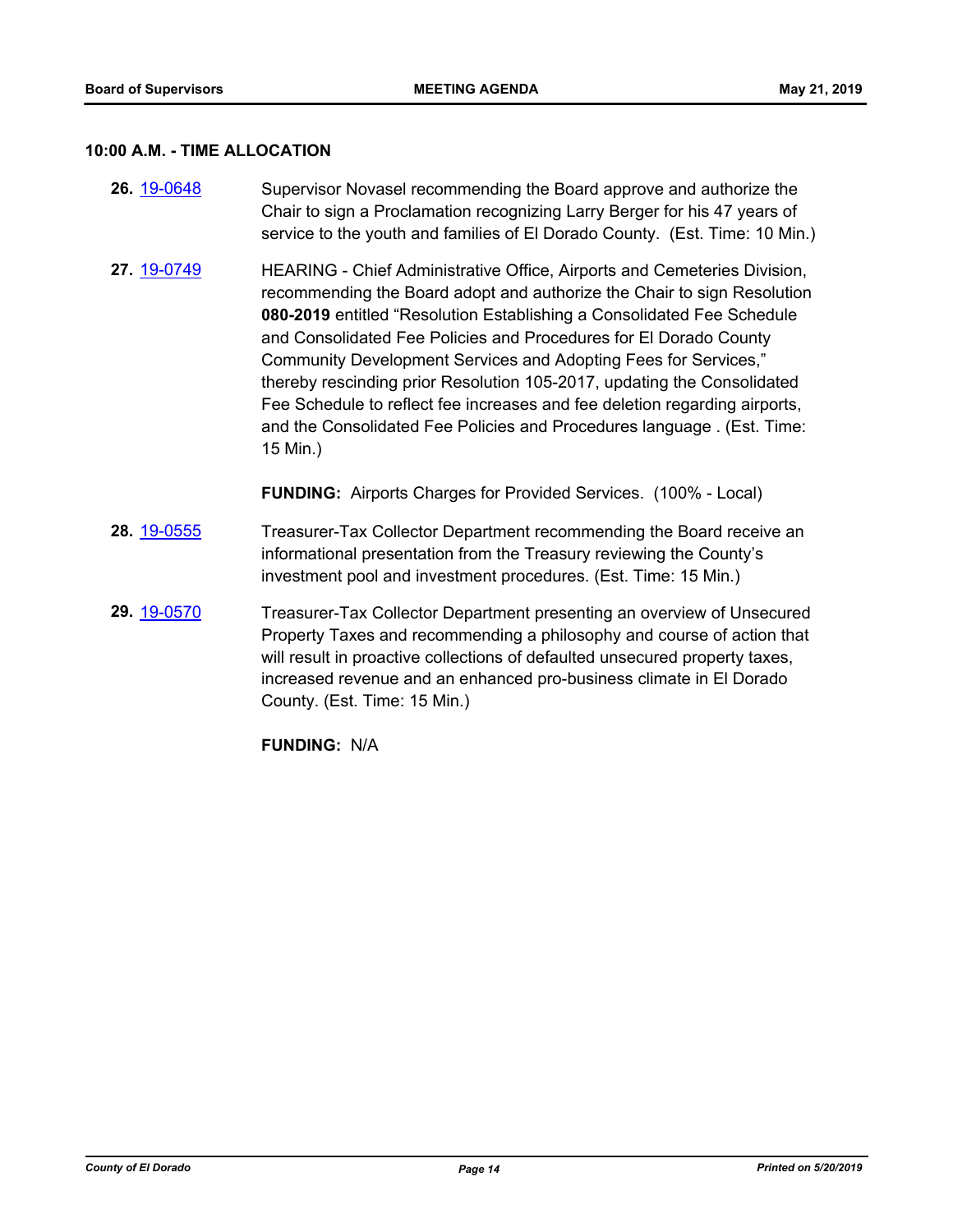### **10:00 A.M. - TIME ALLOCATION**

- **26.** [19-0648](http://eldorado.legistar.com/gateway.aspx?m=l&id=/matter.aspx?key=25970) Supervisor Novasel recommending the Board approve and authorize the Chair to sign a Proclamation recognizing Larry Berger for his 47 years of service to the youth and families of El Dorado County. (Est. Time: 10 Min.)
- **27.** [19-0749](http://eldorado.legistar.com/gateway.aspx?m=l&id=/matter.aspx?key=26071) HEARING Chief Administrative Office, Airports and Cemeteries Division, recommending the Board adopt and authorize the Chair to sign Resolution **080-2019** entitled "Resolution Establishing a Consolidated Fee Schedule and Consolidated Fee Policies and Procedures for El Dorado County Community Development Services and Adopting Fees for Services," thereby rescinding prior Resolution 105-2017, updating the Consolidated Fee Schedule to reflect fee increases and fee deletion regarding airports, and the Consolidated Fee Policies and Procedures language . (Est. Time: 15 Min.)

**FUNDING:** Airports Charges for Provided Services. (100% - Local)

- **28.** [19-0555](http://eldorado.legistar.com/gateway.aspx?m=l&id=/matter.aspx?key=25876) Treasurer-Tax Collector Department recommending the Board receive an informational presentation from the Treasury reviewing the County's investment pool and investment procedures. (Est. Time: 15 Min.)
- **29.** [19-0570](http://eldorado.legistar.com/gateway.aspx?m=l&id=/matter.aspx?key=25891) Treasurer-Tax Collector Department presenting an overview of Unsecured Property Taxes and recommending a philosophy and course of action that will result in proactive collections of defaulted unsecured property taxes, increased revenue and an enhanced pro-business climate in El Dorado County. (Est. Time: 15 Min.)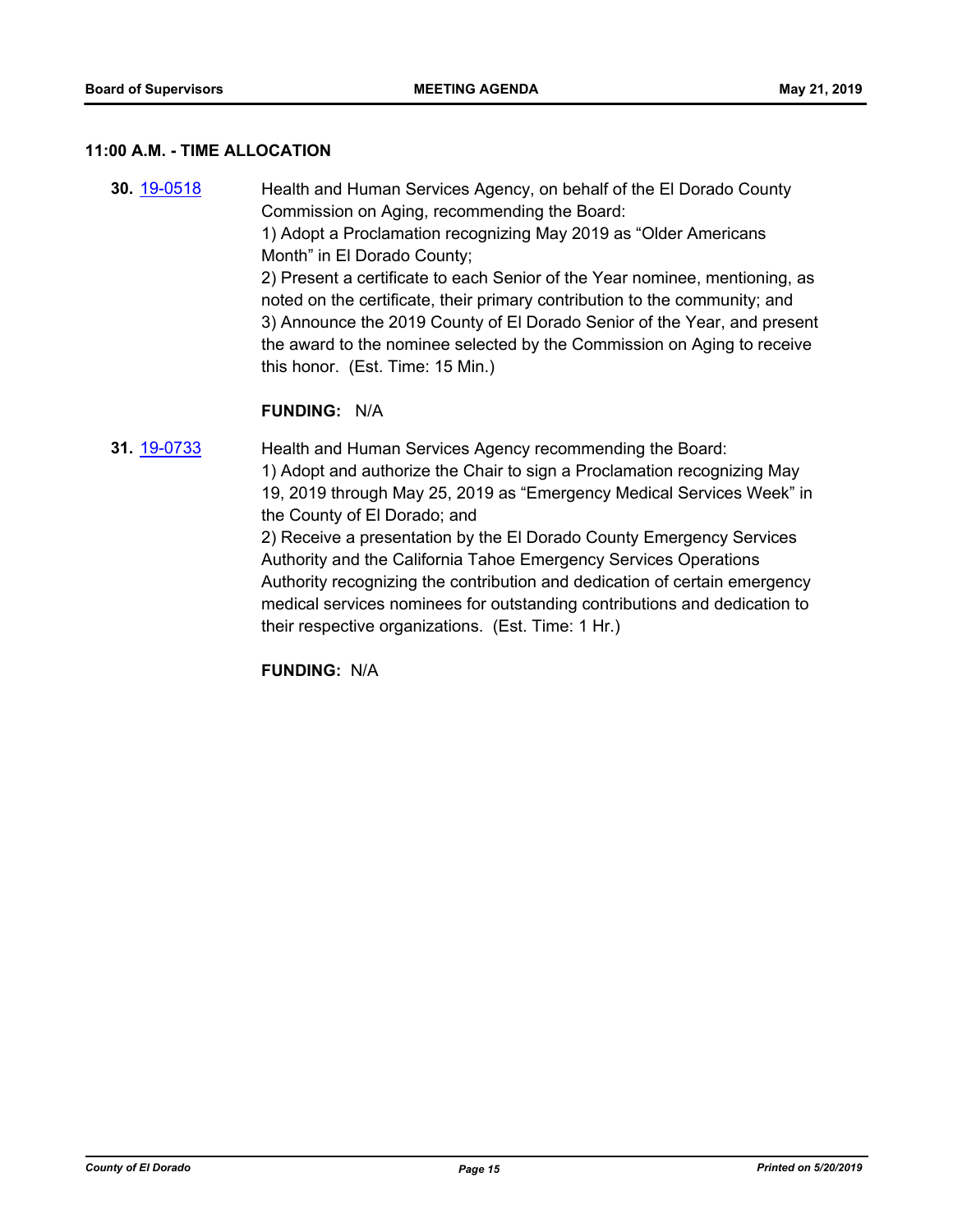### **11:00 A.M. - TIME ALLOCATION**

- **30.** [19-0518](http://eldorado.legistar.com/gateway.aspx?m=l&id=/matter.aspx?key=25839) Health and Human Services Agency, on behalf of the El Dorado County Commission on Aging, recommending the Board: 1) Adopt a Proclamation recognizing May 2019 as "Older Americans Month" in El Dorado County; 2) Present a certificate to each Senior of the Year nominee, mentioning, as noted on the certificate, their primary contribution to the community; and 3) Announce the 2019 County of El Dorado Senior of the Year, and present the award to the nominee selected by the Commission on Aging to receive this honor. (Est. Time: 15 Min.) **FUNDING:** N/A
- **31.** [19-0733](http://eldorado.legistar.com/gateway.aspx?m=l&id=/matter.aspx?key=26055) Health and Human Services Agency recommending the Board: 1) Adopt and authorize the Chair to sign a Proclamation recognizing May 19, 2019 through May 25, 2019 as "Emergency Medical Services Week" in the County of El Dorado; and 2) Receive a presentation by the El Dorado County Emergency Services Authority and the California Tahoe Emergency Services Operations

Authority recognizing the contribution and dedication of certain emergency medical services nominees for outstanding contributions and dedication to their respective organizations. (Est. Time: 1 Hr.)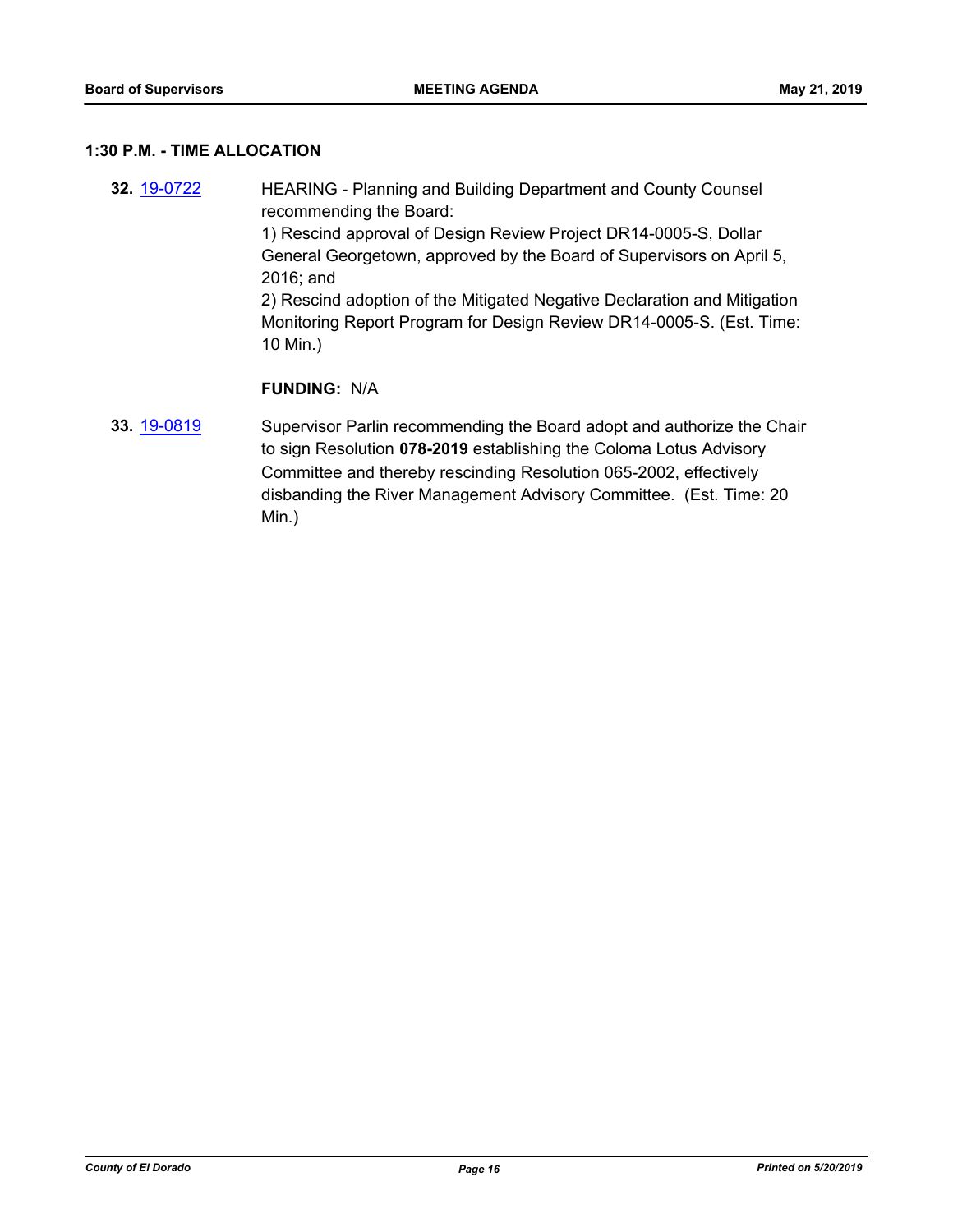### **1:30 P.M. - TIME ALLOCATION**

- **32.** [19-0722](http://eldorado.legistar.com/gateway.aspx?m=l&id=/matter.aspx?key=26044) HEARING Planning and Building Department and County Counsel recommending the Board: 1) Rescind approval of Design Review Project DR14-0005-S, Dollar General Georgetown, approved by the Board of Supervisors on April 5, 2016; and 2) Rescind adoption of the Mitigated Negative Declaration and Mitigation Monitoring Report Program for Design Review DR14-0005-S. (Est. Time: 10 Min.) **FUNDING:** N/A
- **33.** [19-0819](http://eldorado.legistar.com/gateway.aspx?m=l&id=/matter.aspx?key=26142) Supervisor Parlin recommending the Board adopt and authorize the Chair to sign Resolution **078-2019** establishing the Coloma Lotus Advisory Committee and thereby rescinding Resolution 065-2002, effectively disbanding the River Management Advisory Committee. (Est. Time: 20 Min.)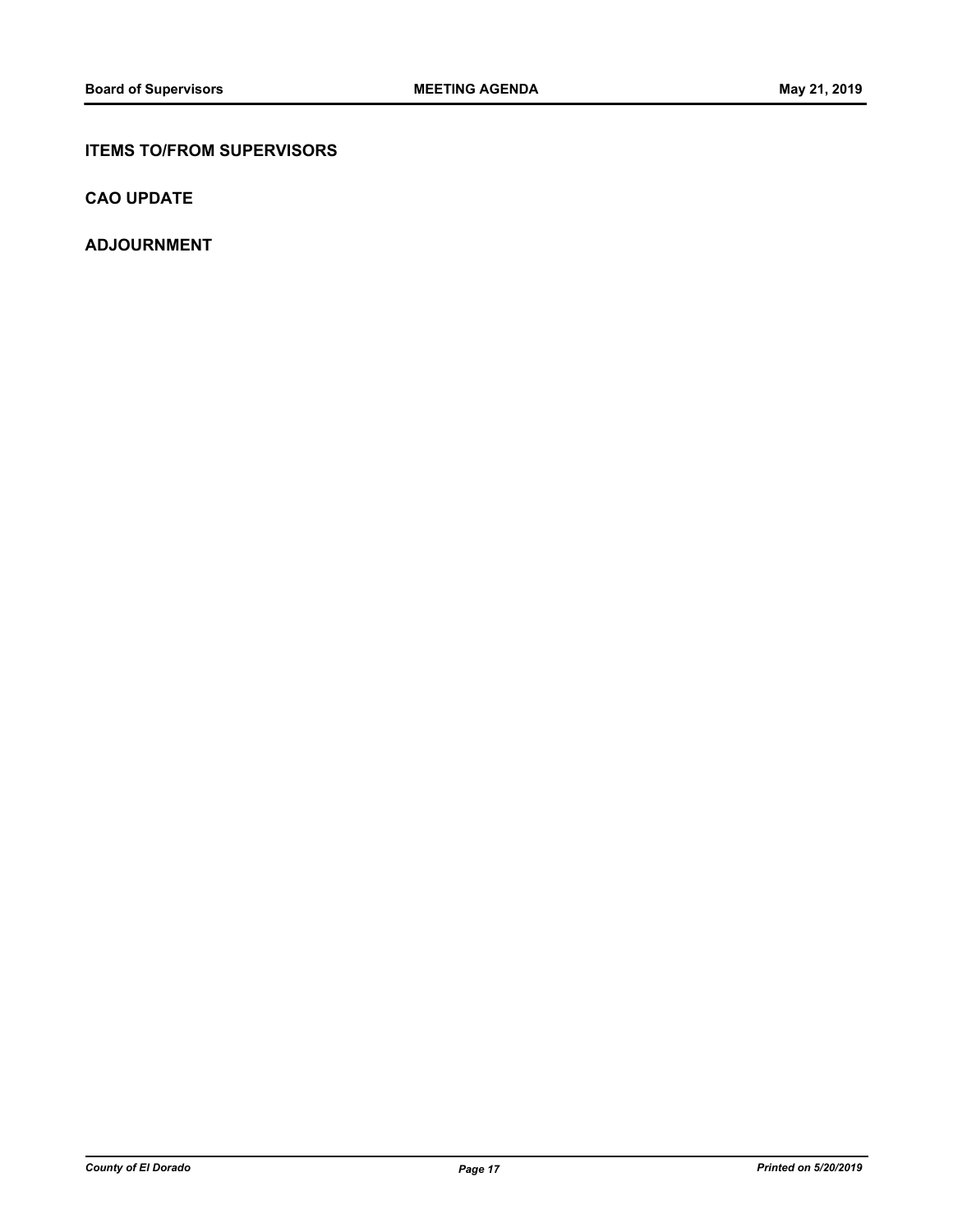# **ITEMS TO/FROM SUPERVISORS**

**CAO UPDATE**

**ADJOURNMENT**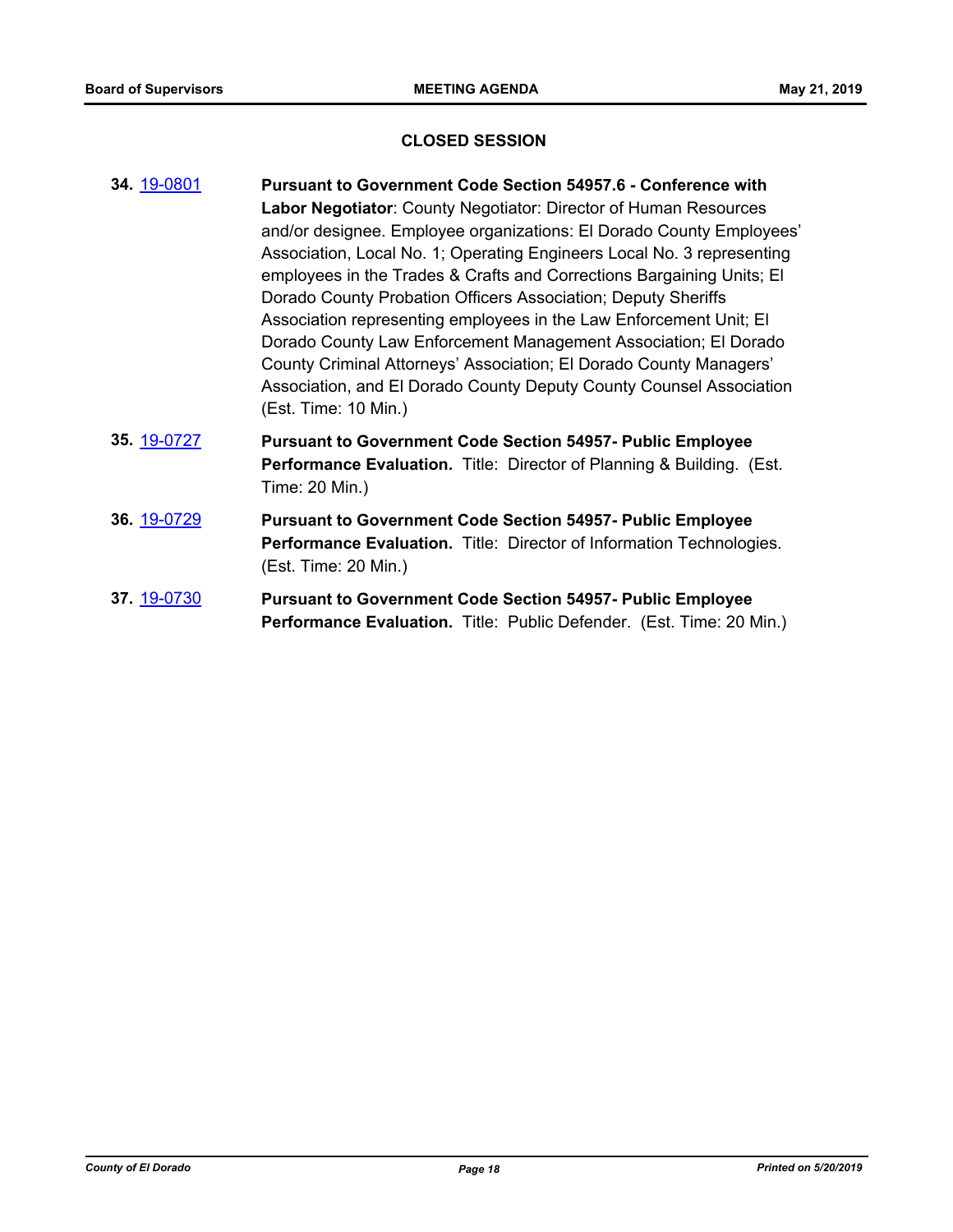### **CLOSED SESSION**

- **34.** [19-0801](http://eldorado.legistar.com/gateway.aspx?m=l&id=/matter.aspx?key=26124) **Pursuant to Government Code Section 54957.6 Conference with Labor Negotiator**: County Negotiator: Director of Human Resources and/or designee. Employee organizations: El Dorado County Employees' Association, Local No. 1; Operating Engineers Local No. 3 representing employees in the Trades & Crafts and Corrections Bargaining Units; El Dorado County Probation Officers Association; Deputy Sheriffs Association representing employees in the Law Enforcement Unit; El Dorado County Law Enforcement Management Association; El Dorado County Criminal Attorneys' Association; El Dorado County Managers' Association, and El Dorado County Deputy County Counsel Association (Est. Time: 10 Min.)
- **35.** [19-0727](http://eldorado.legistar.com/gateway.aspx?m=l&id=/matter.aspx?key=26049) **Pursuant to Government Code Section 54957- Public Employee Performance Evaluation.** Title: Director of Planning & Building. (Est. Time: 20 Min.)
- **36.** [19-0729](http://eldorado.legistar.com/gateway.aspx?m=l&id=/matter.aspx?key=26051) **Pursuant to Government Code Section 54957- Public Employee Performance Evaluation.** Title: Director of Information Technologies. (Est. Time: 20 Min.)
- **37.** [19-0730](http://eldorado.legistar.com/gateway.aspx?m=l&id=/matter.aspx?key=26052) **Pursuant to Government Code Section 54957- Public Employee Performance Evaluation.** Title: Public Defender. (Est. Time: 20 Min.)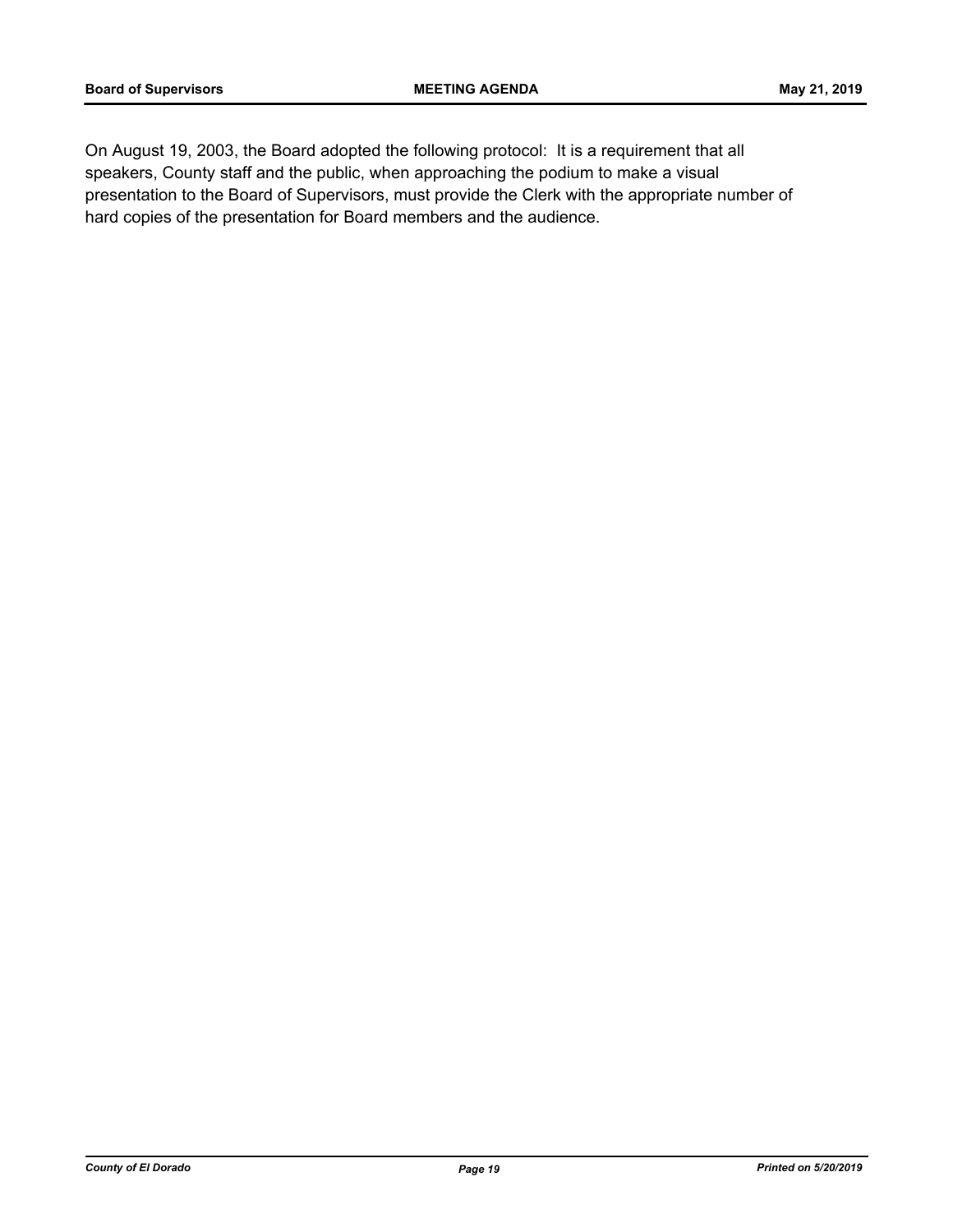On August 19, 2003, the Board adopted the following protocol: It is a requirement that all speakers, County staff and the public, when approaching the podium to make a visual presentation to the Board of Supervisors, must provide the Clerk with the appropriate number of hard copies of the presentation for Board members and the audience.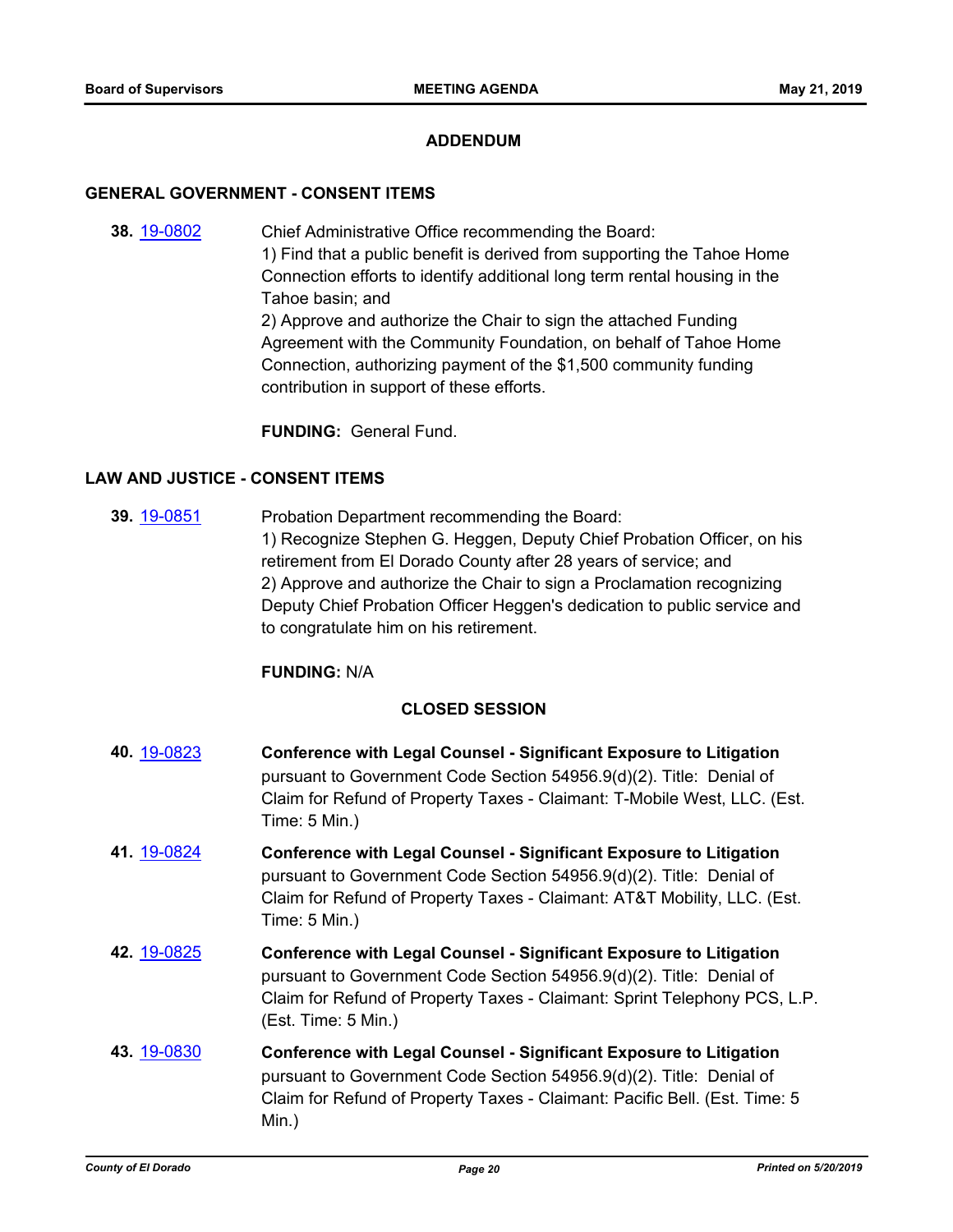## **ADDENDUM**

### **GENERAL GOVERNMENT - CONSENT ITEMS**

**38.** [19-0802](http://eldorado.legistar.com/gateway.aspx?m=l&id=/matter.aspx?key=26125) Chief Administrative Office recommending the Board: 1) Find that a public benefit is derived from supporting the Tahoe Home Connection efforts to identify additional long term rental housing in the Tahoe basin; and 2) Approve and authorize the Chair to sign the attached Funding Agreement with the Community Foundation, on behalf of Tahoe Home Connection, authorizing payment of the \$1,500 community funding contribution in support of these efforts.

**FUNDING:** General Fund.

## **LAW AND JUSTICE - CONSENT ITEMS**

**39.** [19-0851](http://eldorado.legistar.com/gateway.aspx?m=l&id=/matter.aspx?key=26174) Probation Department recommending the Board: 1) Recognize Stephen G. Heggen, Deputy Chief Probation Officer, on his retirement from El Dorado County after 28 years of service; and 2) Approve and authorize the Chair to sign a Proclamation recognizing Deputy Chief Probation Officer Heggen's dedication to public service and to congratulate him on his retirement.

# **FUNDING:** N/A

### **CLOSED SESSION**

- **40.** [19-0823](http://eldorado.legistar.com/gateway.aspx?m=l&id=/matter.aspx?key=26146) **Conference with Legal Counsel Significant Exposure to Litigation** pursuant to Government Code Section 54956.9(d)(2). Title: Denial of Claim for Refund of Property Taxes - Claimant: T-Mobile West, LLC. (Est. Time: 5 Min.)
- **41.** [19-0824](http://eldorado.legistar.com/gateway.aspx?m=l&id=/matter.aspx?key=26147) **Conference with Legal Counsel Significant Exposure to Litigation** pursuant to Government Code Section 54956.9(d)(2). Title: Denial of Claim for Refund of Property Taxes - Claimant: AT&T Mobility, LLC. (Est. Time: 5 Min.)
- **42.** [19-0825](http://eldorado.legistar.com/gateway.aspx?m=l&id=/matter.aspx?key=26148) **Conference with Legal Counsel Significant Exposure to Litigation** pursuant to Government Code Section 54956.9(d)(2). Title: Denial of Claim for Refund of Property Taxes - Claimant: Sprint Telephony PCS, L.P. (Est. Time: 5 Min.)
- **43.** [19-0830](http://eldorado.legistar.com/gateway.aspx?m=l&id=/matter.aspx?key=26153) **Conference with Legal Counsel Significant Exposure to Litigation** pursuant to Government Code Section 54956.9(d)(2). Title: Denial of Claim for Refund of Property Taxes - Claimant: Pacific Bell. (Est. Time: 5 Min.)